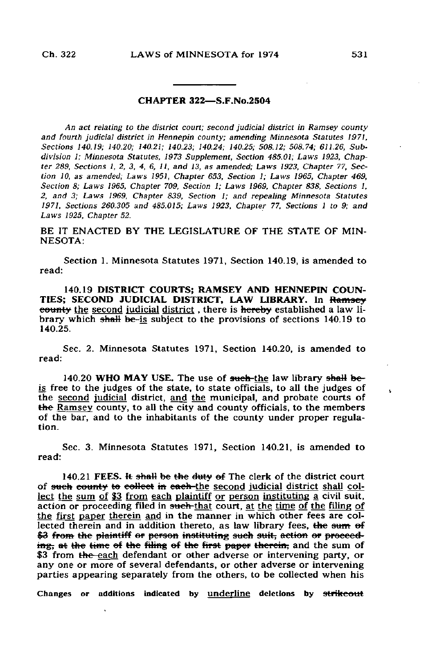## CHAPTER 322—S.F.No.2504

An act relating to the district court; second judicial district in Ramsey county and fourth judicial district in Hennepin county; amending Minnesota Statutes 1971, Sections 140.19; 140.20; 140.21; 140.23; 140.24; 140.25; 508.12; 508.74; 611.26, Subdivision 1; Minnesota Statutes, 1973 Supplement, Section 485.01; Laws 1923, Chapter 289, Sections 1, 2, 3, 4, 6, 11, and 13, as amended; Laws 1923, Chapter 77, Section 10, as amended; Laws 1951, Chapter 653, Section 1; Laws 1965, Chapter 469, Section 8; Laws 1965, Chapter 709, Section 1; Laws 1969, Chapter 838, Sections 1, 2, and 3; Laws 1969, Chapter 839, Section 1; and repealing Minnesota Statutes 1971, Sections 260.305 and 485.015; Laws 1923, Chapter 77, Sections 1 to 9; and Laws 1925, Chapter 52.

BE IT ENACTED BY THE LEGISLATURE OF THE STATE OF MIN-NESOTA:

Section 1. Minnesota Statutes 1971, Section 140.19, is amended to read:

140.19 DISTRICT COURTS; RAMSEY AND HENNEPIN COUN-TIES; SECOND JUDICIAL DISTRICT, LAW LIBRARY. In Ramsey eounty the second judicial district, there is hereby established a law library which shall be-is subject to the provisions of sections 140.19 to 140.25.

Sec. 2. Minnesota Statutes 1971, Section 140.20, is amended to read:

140.20 WHO MAY USE. The use of such-the law library shall beis free to the judges of the state, to state officials, to all the judges of the second judicial district, and the municipal, and probate courts of the Ramsey county, to all the city and county officials, to the members of the bar, and to the inhabitants of the county under proper regulation.

Sec. 3. Minnesota Statutes 1971, Section 140.21, is amended to read:

140.21 FEES. It shall be the duty of The clerk of the district court of such county to collect in each-the second judicial district shall collect the sum of \$3 from each plaintiff or person instituting a civil suit, action or proceeding filed in such-that court, at the time of the filing of the first paper therein and in the manner in which other fees are collected therein and in addition thereto, as law library fees, the sum of \$3 from the plaintiff or person instituting such suit, action or proceeding, at the time of the filing of the first paper therein, and the sum of \$3 from the each defendant or other adverse or intervening party, or any one or more of several defendants, or other adverse or intervening parties appearing separately from the others, to be collected when his

Changes or additions indicated by underline deletions by strikeout

 $\mathbf{r}$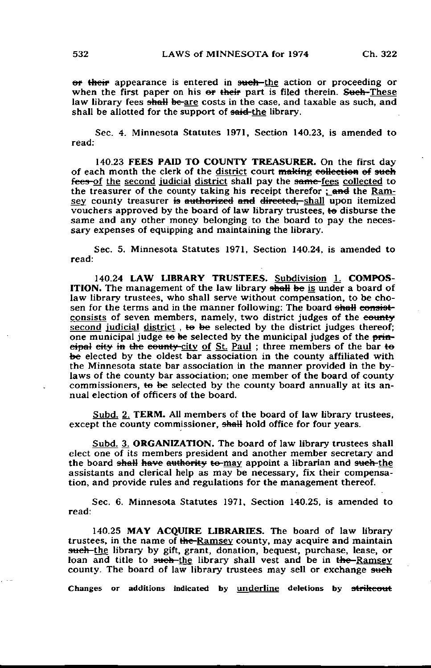<del>or their</del> appearance is entered in such—the action or proceeding or when the first paper on his or their part is filed therein. Such-These law library fees shall be-are costs in the case, and taxable as such, and shall be allotted for the support of said-the library.

Sec. 4. Minnesota Statutes 1971, Section 140.23, is amended to read:

140.23 FEES PAID TO COUNTY TREASURER. On the first day of each month the clerk of the district court  $\frac{m}{k}$  making eollection of such fees-of the second judicial district shall pay the same-fees collected to the treasurer of the county taking his receipt therefor ; and the Ramsey county treasurer is authorized and directed, shall upon itemized vouchers approved by the board of law library trustees, te disburse the same and any other money belonging to the board to pay the necessary expenses of equipping and maintaining the library.

Sec. 5. Minnesota Statutes 1971, Section 140.24, is amended to read:

140.24 LAW LIBRARY TRUSTEES. Subdivision 1. COMPOS-ITION. The management of the law library shall be is under a board of law library trustees, who shall serve without compensation, to be chosen for the terms and in the manner following: The board shall consistconsists of seven members, namely, two district judges of the eounty second judicial district, to be selected by the district judges thereof; one municipal judge to be selected by the municipal judges of the  $\frac{p+m}{r}$ eipal city in the county-city of St. Paul; three members of the bar to be elected by the oldest bar association in the county affiliated with the Minnesota state bar association in the manner provided in the bylaws of the county bar association; one member of the board of county commissioners, te be selected by the county board annually at its annual election of officers of the board.

Subd. 2. TERM. All members of the board of law library trustees, except the county commissioner, shall hold office for four years.

Subd. 3, ORGANIZATION. The board of law library trustees shall elect one of its members president and another member secretary and the board shall have authority to-may appoint a librarian and such-the assistants and clerical help as may be necessary, fix their compensation, and provide rules and regulations for the management thereof.

Sec. 6. Minnesota Statutes 1971, Section 140.25, is amended to read:

140.25 MAY ACQUIRE LIBRARIES. The board of law library trustees, in the name of the-Ramsey county, may acquire and maintain such-the library by gift, grant, donation, bequest, purchase, lease, or loan and title to such-the library shall vest and be in the-Ramsey county. The board of law library trustees may sell or exchange such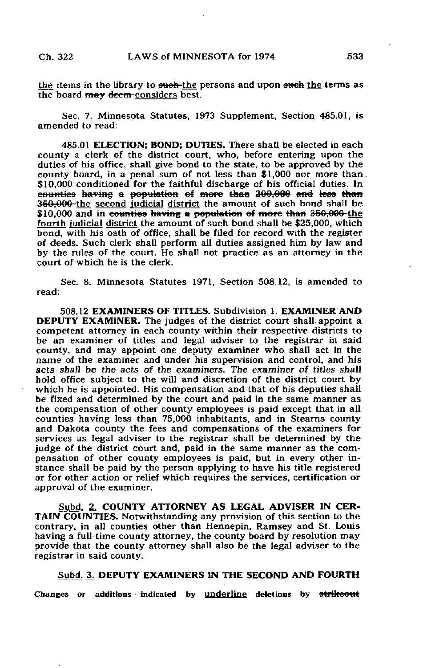the items in the library to such-the persons and upon such the terms as the board may deem-considers best.

Sec. 7. Minnesota Statutes, 1973 Supplement, Section 485.01, is amended to read:

485.01 ELECTION; BOND; DUTIES. There shall be elected in each county a clerk of the district court, who, before entering upon the duties of his office, shall give bond to the state, to be approved by the county board, in a penal sum of not less than \$1,000 nor more than. \$10,000 conditioned for the faithful discharge of his official duties. In counties having a population of more than 200.000 and less than 350,000-the second judicial district the amount of such bond shall be  $$10,000$  and in counties having a population of more than 350,000-the fourth judicial district the amount of such bond shall be \$25,000, which bond, with his oath of office, shall be filed for record with the register of deeds. Such clerk shall perform all duties assigned him by law and by the rules of the court. He shall not practice as an attorney in the court of which he is the clerk.

Sec. 8. Minnesota Statutes 1971, Section 508.12, is amended to read:

508.12 EXAMINERS OF TITLES. Subdivision 1. EXAMINER AND DEPUTY EXAMINER. The judges of the district court shall, appoint a competent attorney in each county within their respective districts to be an examiner of titles and legal adviser to the registrar in said county, and may appoint one deputy examiner who shall act in the name of the examiner and under his supervision and control, and his acts shall be the acts of the examiners. The examiner of titles shall hold office subject to the will and discretion of the district court by which he is appointed. His compensation and that of his deputies shall be fixed and determined by the court and paid in the same manner as the compensation of other county employees is paid except that in all counties having less than 75,000 inhabitants, and in Stearns county and Dakota county the fees and compensations of the examiners for services as legal adviser to the registrar shall be determined by the judge of the district court and, paid in the same manner as the compensation of other county employees is paid, but in every other instance shall be paid by the person applying to have his title registered or for other action or relief which requires the services, certification or approval of the examiner.

Subd. 2. COUNTY ATTORNEY AS LEGAL ADVISER IN CER-TAIN COUNTIES. Notwithstanding any provision of this section to the contrary, in all counties other than Hennepin, Ramsey and St. Louis having a full-time county attorney, the county board by resolution may provide that the county attorney shall also be the legal adviser to the registrar in said county.

## Subd. 3. DEPUTY EXAMINERS IN THE SECOND AND FOURTH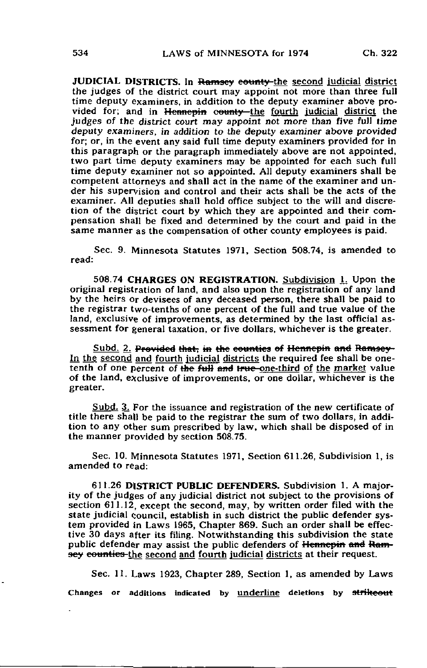JUDICIAL DISTRICTS. In Ramsey county-the second judicial district the judges of the district court may appoint not more than three full time deputy examiners, in addition to the deputy examiner above provided for; and in Hennepin county the fourth judicial district the judges of the district court may appoint not more than five full time deputy examiners, in addition to the deputy examiner above provided for; or, in the event any said full time deputy examiners provided for in this paragraph or the paragraph immediately above are not appointed, two part time deputy examiners may be appointed for each such full time deputy examiner not so appointed. All deputy examiners shall be competent attorneys and shall act in the name of the examiner and under his supervision and control and their acts shall be the acts of the examiner. All deputies shall hold office subject to the will and discretion of the district court by which they are appointed and their compensation shall be fixed and determined by the court and paid in the same manner as the compensation of other county employees is paid.

Sec. 9. Minnesota Statutes 1971, Section 508.74, is amended to read:

508.74 CHARGES ON REGISTRATION. Subdivision 1. Upon the original registration of land, and also upon the registration of any land by the heirs or devisees of any deceased person, there shall be paid to the registrar two-tenths of one percent of the full and true value of the land, exclusive of improvements, as determined by the last official assessment for general taxation, or five dollars, whichever is the greater.

Subd. 2. Provided that, in the counties of Hennepin and Ramsey-In the second and fourth judicial districts the required fee shall be onetenth of one percent of the full and true-one-third of the market value of the land, exclusive of improvements, or one dollar, whichever is the greater.

Subd. 3. For the issuance and registration of the new certificate of title there shall be paid to the registrar the sum of two dollars, in addition to any other sum prescribed by law, which shall be disposed of in the manner provided by section 508.75.

Sec. 10. Minnesota Statutes 1971, Section 611.26, Subdivision 1, is amended to read:

611.26 DISTRICT PUBLIC DEFENDERS. Subdivision 1. A majority of the judges of any judicial district not subject to the provisions of section 611.12, except the second, may, by written order filed with the state judicial council, establish in such district the public defender system provided in Laws 1965, Chapter 869. Such an order shall be effective 30 days after its filing. Notwithstanding this subdivision the state public defender may assist the public defenders of Hennepin and Ramsey counties-the second and fourth judicial districts at their request.

Sec. 11. Laws 1923, Chapter 289, Section 1, as amended by Laws Changes or additions indicated by underline deletions by strikeout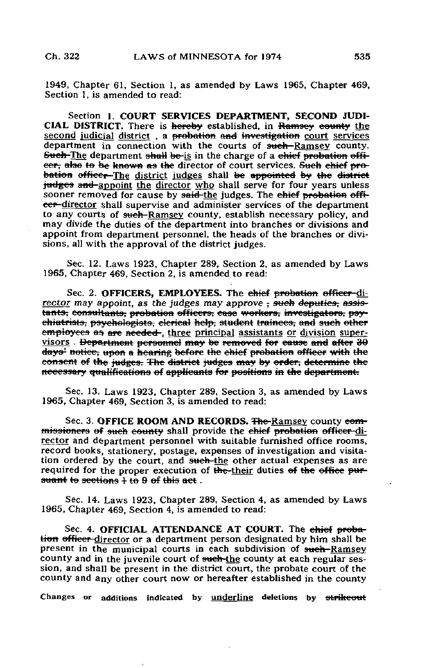1949, Chapter 61, Section 1, as amended by Laws 1965, Chapter 469, Section 1, is amended to read:

Section 1. COURT SERVICES DEPARTMENT, SECOND JUDI-CIAL DISTRICT. There is hereby established, in Ramsey county the second judicial district, a probation and investigation court services department in connection with the courts of such-Ramsey county. Such-The department shall be-is in the charge of a chief probation offieer, also to be known as the director of court services. Such chief probation officer-The district judges shall be appointed by the district judges and appoint the director who shall serve for four years unless sooner removed for cause by said-the judges. The chief probation officer-director shall supervise and administer services of the department to any courts of such-Ramsey county, establish necessary policy, and may divide the duties of the department into branches or divisions and appoint from department personnel, the heads of the branches or divisions, all with the approval of the district judges.

Sec. 12. Laws 1923, Chapter 289, Section 2, as amended by Laws 1965, Chapter 469, Section 2, is amended to read:

Sec. 2. OFFICERS, EMPLOYEES. The chief probation officer-director may appoint, as the judges may approve  $\frac{1}{2}$  such deputies, assistants, consultants, probation officers, case workers, investigators, psychiatrists, psychologists, clerical help, student trainees, and such other employees as are needed-, three principal assistants or division supervisors . Department personnel may be removed for eause and after 30 days' notice, upon a hearing before the chief probation officer with the consent of the judges. The district judges may by order; determine the necessary qualifications el applicants for positions in the department.

Sec. 13. Laws 1923, Chapter 289, Section 3, as amended by Laws 1965, Chapter 469, Section 3, is amended to read:

Sec. 3. OFFICE ROOM AND RECORDS. The-Ramsey county eommissioners of such county shall provide the chief probation officer-director and department personnel with suitable furnished office rooms, record books, stationery, postage, expenses of investigation and visitation ordered by the court, and sweh-the other actual expenses as are required for the proper execution of the-their duties of the office pursuant to sections  $\frac{1}{2}$  to 9 of this act.

Sec. 14. Laws 1923, Chapter 289, Section 4, as amended by Laws 1965, Chapter 469, Section 4, is amended to read:

Sec. 4. OFFICIAL ATTENDANCE AT COURT. The chief probation officer director or a department person designated by him shall be present in the municipal courts in each subdivision of such-Ramsey. county and in the juvenile court of such-the county at each regular session, and shall be present in the district court, the probate court of the county and any other court now or hereafter established in the county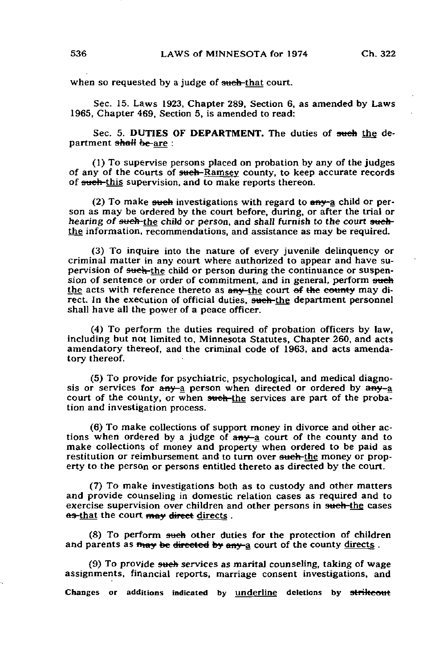when so requested by a judge of such-that court.

Sec. 15. Laws 1923, Chapter 289, Section 6, as amended by Laws 1965, Chapter 469, Section 5, is amended to read:

Sec. 5. DUTIES OF DEPARTMENT. The duties of such the department shall be are :

(1) To supervise persons placed on probation by any of the judges of any of the courts of such-Ramsey county, to keep accurate records of such-this supervision, and to make reports thereon.

(2) To make such investigations with regard to  $env$ -a child or person as may be ordered by the court before, during, or after the trial or hearing of <del>such</del>-the child or person, and shall furnish to the court suchthe information, recommendations, and assistance as may be required.

(3) To inquire into the nature of every juvenile delinquency or criminal matter in any court where authorized to appear and have supervision of such-the child or person during the continuance or suspension of sentence or order of commitment, and in general, perform such the acts with reference thereto as any-the court of the county may direct. In the execution of official duties, such-the department personnel shall have all the power of a peace officer.

(4) To perform the duties required of probation officers by law, including but not limited to, Minnesota Statutes, Chapter 260, and acts amendatory thereof, and the criminal code of 1963, and acts amendatory thereof.

(5) To provide for psychiatric, psychological, and medical diagnosis or services for any a person when directed or ordered by any a court of the county, or when such-the services are part of the probation and investigation process.

(6) To make collections of support money in divorce and other actions when ordered by a judge of  $amy$ -a court of the county and to make collections of money and property when ordered to be paid as restitution or reimbursement and to turn over such-the money or property to the person or persons entitled thereto as directed by the court.

(7) To make investigations both as to custody and other matters and provide counseling in domestic relation cases as required and to exercise supervision over children and other persons in such-the cases as-that the court may direct directs.

 $(8)$  To perform such other duties for the protection of children and parents as may be directed by any a court of the county directs.

(9) To provide such services as marital counseling, taking of wage assignments, financial reports, marriage consent investigations, and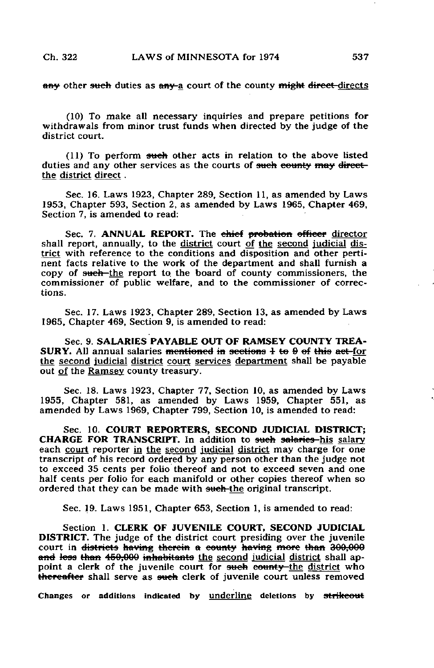any other such duties as any-a court of the county might direct-directs

(10) To make all necessary inquiries and prepare petitions for withdrawals from minor trust funds when directed by the judge of the district court.

 $(11)$  To perform such other acts in relation to the above listed duties and any other services as the courts of such county may directthe district direct .

Sec. 16. Laws 1923, Chapter 289, Section 11, as amended by Laws 1953, Chapter 593, Section 2, as amended by Laws 1965, Chapter 469, Section 7, is amended to read:

Sec. 7. ANNUAL REPORT. The chief probation officer director shall report, annually, to the district court of the second judicial district with reference to the conditions and disposition and other pertinent facts relative to the work of the department and shall furnish a copy of such-the report to the board of county commissioners, the commissioner of public welfare, and to the commissioner of corrections.

Sec. 17. Laws 1923, Chapter 289, Section 13, as amended by Laws 1965, Chapter 469, Section 9, is amended to read:

Sec. 9. SALARIES PAYABLE OUT OF RAMSEY COUNTY TREA-SURY. All annual salaries mentioned in sections  $\frac{1}{2}$  to 9 of this act-for the second judicial district court services department shall be payable out of the Ramsey county treasury.

Sec. 18. Laws 1923, Chapter 77, Section 10, as amended by Laws 1955, Chapter 581, as amended by Laws 1959, Chapter 551, as amended by Laws 1969, Chapter 799, Section 10, is amended to read:

Sec. 10. COURT REPORTERS, SECOND JUDICIAL DISTRICT; CHARGE FOR TRANSCRIPT. In addition to sueh salaries-his salary each court reporter in the second judicial district may charge for one transcript of his record ordered by any person other than the judge not to exceed 35 cents per folio thereof and not to exceed seven and one half cents per folio for each manifold or other copies thereof when so ordered that they can be made with such-the original transcript.

Sec. 19. Laws 1951, Chapter 653, Section 1, is amended to read:

Section 1. CLERK OF JUVENILE COURT, SECOND JUDICIAL DISTRICT. The judge of the district court presiding over the juvenile court in <del>districts having therein</del> a county having more than 300,000 and less than 450,000 inhabitants the second judicial district shall appoint a clerk of the juvenile court for such county the district who thereafter shall serve as such clerk of juvenile court unless removed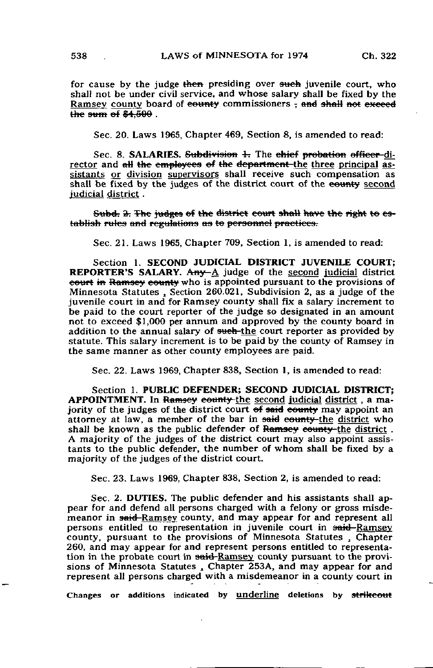for cause by the judge then presiding over such juvenile court, who shall not be under civil service, and whose salary shall be fixed by the Ramsey county board of eounty commissioners  $\frac{1}{2}$  and shall not exceed  $\sqrt{1 + 600}$  .

Sec. 20. Laws 1965, Chapter 469, Section 8, is amended to read:

Sec. 8. **SALARIES.** Subdivision  $\pm$ . The chief probation officer-director and  $\alpha$ H the employees of the department-the three principal assistants or division supervisors shall receive such compensation as shall be fixed by the judges of the district court of the county second judicial district .

Subd. 2. The judges of the district court shall have the right to establish rules and regulations as to personnel practices.

Sec. 21. Laws 1965, Chapter 709, Section 1, is amended to read:

Section 1. SECOND JUDICIAL DISTRICT JUVENILE COURT: REPORTER'S SALARY. Any  $A$  judge of the second judicial district eourt in Ramsey county who is appointed pursuant to the provisions of Minnesota Statutes , Section 260.021, Subdivision 2, as a judge of the juvenile court in and for Ramsey county shall fix a salary increment to be paid to the court reporter of the judge so designated in an amount not to exceed \$1,000 per annum and approved by the county board in addition to the annual salary of such-the court reporter as provided by statute. This salary increment is to be paid by the county of Ramsey in the same manner as other county employees are paid.

Sec. 22. Laws 1969, Chapter 838, Section 1, is amended to read:

Section 1. PUBLIC DEFENDER; SECOND JUDICIAL DISTRICT; APPOINTMENT. In Ramsey county the second judicial district, a majority of the judges of the district court of said county may appoint an attorney at law, a member of the bar in said equally-the district who shall be known as the public defender of Ramsey county-the district. A majority of the judges of the district court may also appoint assistants to the public defender, the number of whom shall be fixed by a majority of the judges of the district court.

Sec. 23. Laws 1969, Chapter 838, Section 2, is amended to read:

Sec. 2. DUTIES. The public defender and his assistants shall appear for and defend all persons charged with a felony or gross misdemeanor in said-Ramsey county, and may appear for and represent all persons entitled to representation in juvenile court in said-Ramsey county, pursuant to the provisions of Minnesota Statutes , Chapter 260, and may appear for and represent persons entitled to representation in the probate court in said-Ramsey county pursuant to the provisions of Minnesota Statutes , Chapter 253A, and may appear for and represent all persons charged with a misdemeanor in a county court in